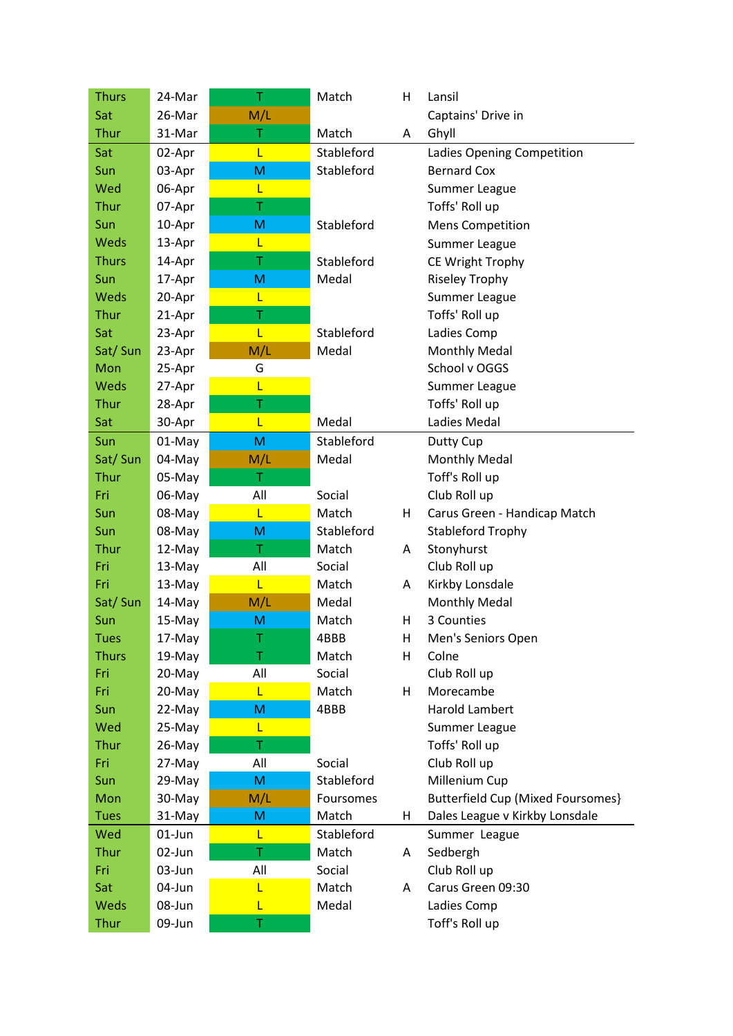| <b>Thurs</b> | 24-Mar | Τ   | Match      | н  | Lansil                            |
|--------------|--------|-----|------------|----|-----------------------------------|
| Sat          | 26-Mar | M/L |            |    | Captains' Drive in                |
| Thur         | 31-Mar | T   | Match      | A  | Ghyll                             |
| Sat          | 02-Apr | L   | Stableford |    | Ladies Opening Competition        |
| Sun          | 03-Apr | M   | Stableford |    | <b>Bernard Cox</b>                |
| Wed          | 06-Apr | L   |            |    | Summer League                     |
| Thur         | 07-Apr | T   |            |    | Toffs' Roll up                    |
| Sun          | 10-Apr | M   | Stableford |    | <b>Mens Competition</b>           |
| Weds         | 13-Apr | L   |            |    | Summer League                     |
| <b>Thurs</b> | 14-Apr | T   | Stableford |    | CE Wright Trophy                  |
| Sun          | 17-Apr | M   | Medal      |    | <b>Riseley Trophy</b>             |
| Weds         | 20-Apr | L   |            |    | Summer League                     |
| Thur         | 21-Apr | Τ   |            |    | Toffs' Roll up                    |
| Sat          | 23-Apr | L   | Stableford |    | Ladies Comp                       |
| Sat/Sun      | 23-Apr | M/L | Medal      |    | <b>Monthly Medal</b>              |
| Mon          | 25-Apr | G   |            |    | School v OGGS                     |
| Weds         | 27-Apr | Ĺ   |            |    | Summer League                     |
| Thur         | 28-Apr | Τ   |            |    | Toffs' Roll up                    |
| Sat          | 30-Apr | L   | Medal      |    | Ladies Medal                      |
| Sun          | 01-May | M   | Stableford |    | Dutty Cup                         |
| Sat/Sun      | 04-May | M/L | Medal      |    | <b>Monthly Medal</b>              |
| Thur         | 05-May | T   |            |    | Toff's Roll up                    |
| Fri          | 06-May | All | Social     |    | Club Roll up                      |
| Sun          | 08-May | L   | Match      | H  | Carus Green - Handicap Match      |
| Sun          | 08-May | M   | Stableford |    | <b>Stableford Trophy</b>          |
| Thur         | 12-May | T   | Match      | A  | Stonyhurst                        |
| Fri          | 13-May | All | Social     |    | Club Roll up                      |
| Fri          | 13-May | L   | Match      | A  | Kirkby Lonsdale                   |
| Sat/Sun      | 14-May | M/L | Medal      |    | <b>Monthly Medal</b>              |
| Sun          | 15-May | M   | Match      | н  | 3 Counties                        |
| <b>Tues</b>  | 17-May |     | 4BBB       | H  | Men's Seniors Open                |
| <b>Thurs</b> | 19-May | T   | Match      | H  | Colne                             |
| Fri          | 20-May | All | Social     |    | Club Roll up                      |
| Fri          | 20-May | L   | Match      | H  | Morecambe                         |
| Sun          | 22-May | M   | 4BBB       |    | <b>Harold Lambert</b>             |
| Wed          | 25-May | L   |            |    | Summer League                     |
| Thur         | 26-May | T   |            |    | Toffs' Roll up                    |
| Fri          | 27-May | All | Social     |    | Club Roll up                      |
| Sun          | 29-May | M   | Stableford |    | Millenium Cup                     |
| Mon          | 30-May | M/L | Foursomes  |    | Butterfield Cup (Mixed Foursomes) |
| <b>Tues</b>  | 31-May | M   | Match      | H. | Dales League v Kirkby Lonsdale    |
| Wed          | 01-Jun | L   | Stableford |    | Summer League                     |
| Thur         | 02-Jun | T   | Match      | A  | Sedbergh                          |
| Fri          | 03-Jun | All | Social     |    | Club Roll up                      |
| Sat          | 04-Jun | L   | Match      | A  | Carus Green 09:30                 |
| Weds         | 08-Jun | L   | Medal      |    | Ladies Comp                       |
| <b>Thur</b>  | 09-Jun | T   |            |    | Toff's Roll up                    |
|              |        |     |            |    |                                   |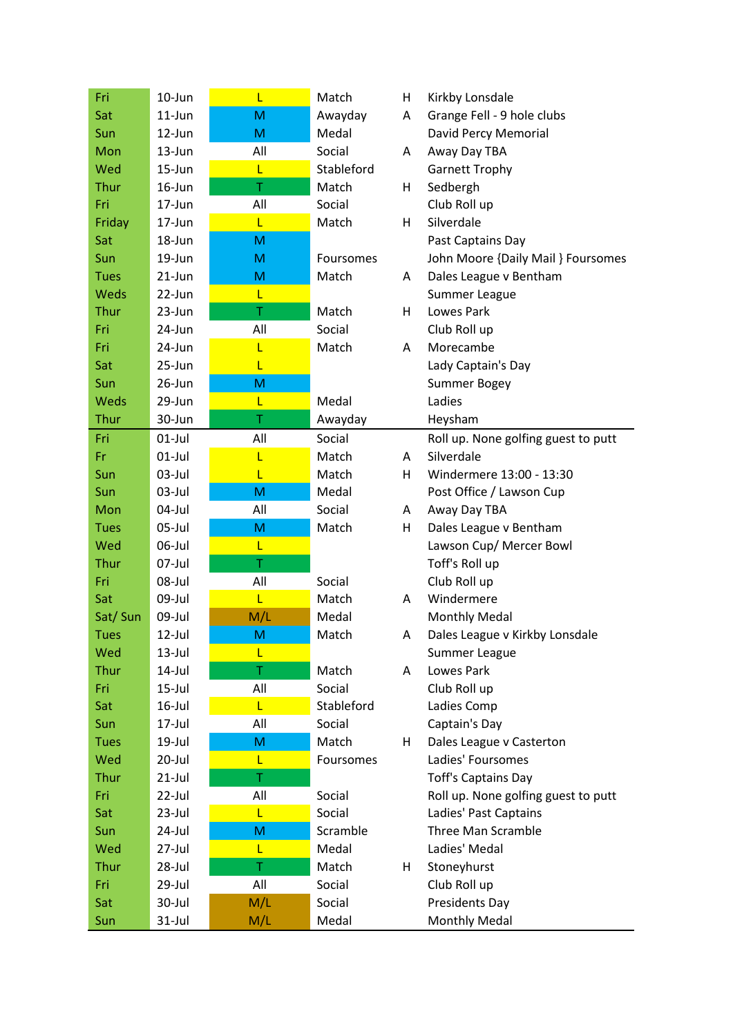| Fri         | 10-Jun    | L   | Match      | H | Kirkby Lonsdale                     |
|-------------|-----------|-----|------------|---|-------------------------------------|
| Sat         | $11$ -Jun | M   | Awayday    | A | Grange Fell - 9 hole clubs          |
| Sun         | 12-Jun    | M   | Medal      |   | David Percy Memorial                |
| Mon         | 13-Jun    | All | Social     | A | Away Day TBA                        |
| Wed         | 15-Jun    | L   | Stableford |   | <b>Garnett Trophy</b>               |
| Thur        | $16$ -Jun | T   | Match      | H | Sedbergh                            |
| Fri         | 17-Jun    | All | Social     |   | Club Roll up                        |
| Friday      | 17-Jun    | L   | Match      | H | Silverdale                          |
| Sat         | 18-Jun    | M   |            |   | Past Captains Day                   |
| Sun         | $19$ -Jun | M   | Foursomes  |   | John Moore {Daily Mail } Foursomes  |
| <b>Tues</b> | 21-Jun    | M   | Match      | A | Dales League v Bentham              |
| <b>Weds</b> | 22-Jun    | L   |            |   | Summer League                       |
| Thur        | 23-Jun    | T   | Match      | H | Lowes Park                          |
| Fri         | 24-Jun    | All | Social     |   | Club Roll up                        |
| Fri         | 24-Jun    | L   | Match      | A | Morecambe                           |
| Sat         | 25-Jun    | L   |            |   | Lady Captain's Day                  |
| Sun         | 26-Jun    | M   |            |   | Summer Bogey                        |
| <b>Weds</b> | 29-Jun    | L   | Medal      |   | Ladies                              |
| Thur        | 30-Jun    | Τ   | Awayday    |   | Heysham                             |
| Fri         | $01$ -Jul | All | Social     |   | Roll up. None golfing guest to putt |
| Fr          | $01$ -Jul | L   | Match      | A | Silverdale                          |
| Sun         | $03$ -Jul | L   | Match      | H | Windermere 13:00 - 13:30            |
| Sun         | $03$ -Jul | M   | Medal      |   | Post Office / Lawson Cup            |
| Mon         | 04-Jul    | All | Social     | A | Away Day TBA                        |
| <b>Tues</b> | 05-Jul    | M   | Match      | H | Dales League v Bentham              |
| Wed         | 06-Jul    | Ĺ   |            |   | Lawson Cup/ Mercer Bowl             |
| Thur        | 07-Jul    | Τ   |            |   | Toff's Roll up                      |
| Fri         | 08-Jul    | All | Social     |   | Club Roll up                        |
| Sat         | 09-Jul    | L   | Match      | A | Windermere                          |
| Sat/Sun     | 09-Jul    | M/L | Medal      |   | <b>Monthly Medal</b>                |
| <b>Tues</b> | $12$ -Jul | M   | Match      | A | Dales League v Kirkby Lonsdale      |
| Wed         | $13$ -Jul | L   |            |   | Summer League                       |
| Thur        | $14$ -Jul | T   | Match      | A | Lowes Park                          |
| Fri         | $15$ -Jul | All | Social     |   | Club Roll up                        |
| Sat         | $16$ -Jul | L   | Stableford |   | Ladies Comp                         |
| Sun         | 17-Jul    | All | Social     |   | Captain's Day                       |
| <b>Tues</b> | 19-Jul    | M   | Match      | H | Dales League v Casterton            |
| Wed         | 20-Jul    | L   | Foursomes  |   | Ladies' Foursomes                   |
| Thur        | $21$ -Jul | T   |            |   | <b>Toff's Captains Day</b>          |
| Fri         | 22-Jul    | All | Social     |   | Roll up. None golfing guest to putt |
| Sat         | $23$ -Jul | L   | Social     |   | Ladies' Past Captains               |
| Sun         | 24-Jul    | M   | Scramble   |   | Three Man Scramble                  |
| Wed         | 27-Jul    | L   | Medal      |   | Ladies' Medal                       |
| Thur        | 28-Jul    | Τ   | Match      | H | Stoneyhurst                         |
| Fri         | 29-Jul    | All | Social     |   | Club Roll up                        |
| Sat         | 30-Jul    | M/L | Social     |   | Presidents Day                      |
| Sun         | $31$ -Jul | M/L | Medal      |   | <b>Monthly Medal</b>                |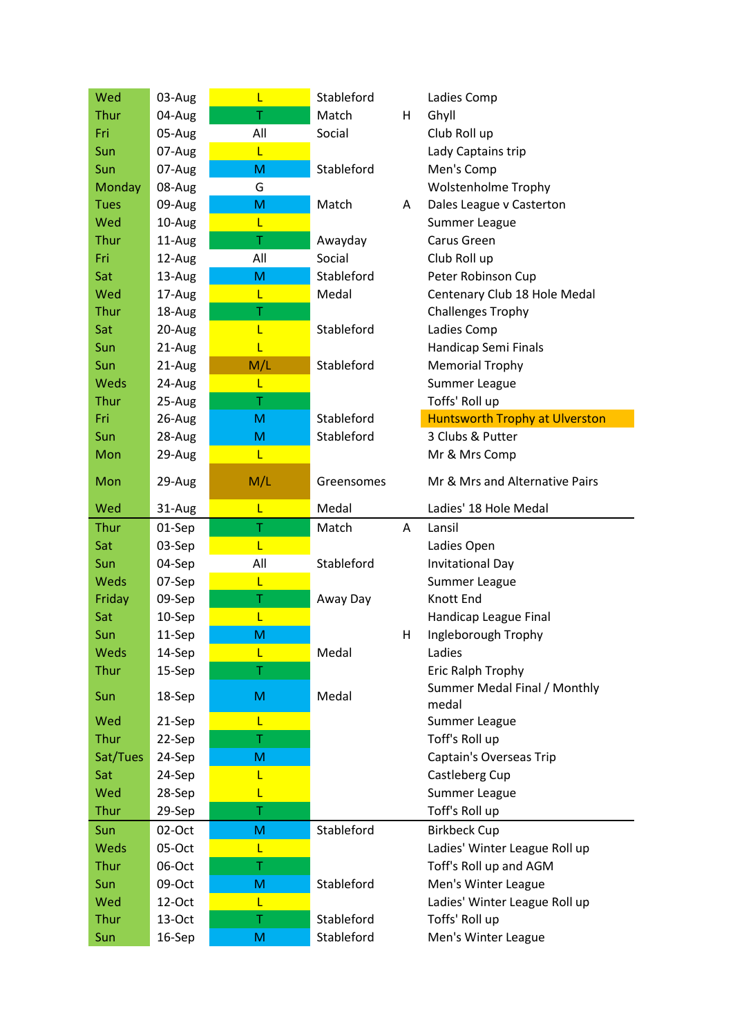| Wed         | 03-Aug    | L   | Stableford |    | Ladies Comp                           |
|-------------|-----------|-----|------------|----|---------------------------------------|
| Thur        | 04-Aug    | T   | Match      | H. | Ghyll                                 |
| Fri         | 05-Aug    | All | Social     |    | Club Roll up                          |
| Sun         | 07-Aug    | L   |            |    | Lady Captains trip                    |
| Sun         | 07-Aug    | M   | Stableford |    | Men's Comp                            |
| Monday      | 08-Aug    | G   |            |    | <b>Wolstenholme Trophy</b>            |
| <b>Tues</b> | 09-Aug    | M   | Match      | A  | Dales League v Casterton              |
| Wed         | 10-Aug    | L   |            |    | Summer League                         |
| Thur        | 11-Aug    | Τ   | Awayday    |    | Carus Green                           |
| Fri         | 12-Aug    | All | Social     |    | Club Roll up                          |
| Sat         | 13-Aug    | M   | Stableford |    | Peter Robinson Cup                    |
| Wed         | 17-Aug    | L   | Medal      |    | Centenary Club 18 Hole Medal          |
| Thur        | 18-Aug    | Τ   |            |    | <b>Challenges Trophy</b>              |
| Sat         | 20-Aug    | L   | Stableford |    | Ladies Comp                           |
| Sun         | 21-Aug    | L   |            |    | Handicap Semi Finals                  |
| Sun         | 21-Aug    | M/L | Stableford |    | <b>Memorial Trophy</b>                |
| Weds        | 24-Aug    | L   |            |    | Summer League                         |
| Thur        | 25-Aug    | T   |            |    | Toffs' Roll up                        |
| Fri         | 26-Aug    | M   | Stableford |    | <b>Huntsworth Trophy at Ulverston</b> |
| Sun         | 28-Aug    | M   | Stableford |    | 3 Clubs & Putter                      |
| Mon         | 29-Aug    | L   |            |    | Mr & Mrs Comp                         |
| Mon         | 29-Aug    | M/L | Greensomes |    | Mr & Mrs and Alternative Pairs        |
| Wed         | 31-Aug    | L   | Medal      |    | Ladies' 18 Hole Medal                 |
|             |           |     |            |    |                                       |
| Thur        | 01-Sep    | T   | Match      | A  | Lansil                                |
| Sat         | 03-Sep    | Ĺ   |            |    | Ladies Open                           |
| Sun         | 04-Sep    | All | Stableford |    | <b>Invitational Day</b>               |
| Weds        | 07-Sep    | L   |            |    | Summer League                         |
| Friday      | 09-Sep    | Τ   | Away Day   |    | Knott End                             |
| Sat         | 10-Sep    | L   |            |    | Handicap League Final                 |
| Sun         | 11-Sep    | M   |            | H  | Ingleborough Trophy                   |
| Weds        | 14-Sep    | L   | Medal      |    | Ladies                                |
| Thur        | 15-Sep    | T   |            |    | Eric Ralph Trophy                     |
| Sun         | 18-Sep    | M   | Medal      |    | Summer Medal Final / Monthly<br>medal |
| Wed         | 21-Sep    | L   |            |    | Summer League                         |
| Thur        | 22-Sep    | T   |            |    | Toff's Roll up                        |
| Sat/Tues    | 24-Sep    | M   |            |    | Captain's Overseas Trip               |
| Sat         | 24-Sep    | L   |            |    | Castleberg Cup                        |
| Wed         | 28-Sep    | L   |            |    | Summer League                         |
| Thur        | 29-Sep    | Τ   |            |    | Toff's Roll up                        |
| Sun         | 02-Oct    | M   | Stableford |    | <b>Birkbeck Cup</b>                   |
| Weds        | 05-Oct    | L   |            |    | Ladies' Winter League Roll up         |
| Thur        | 06-Oct    | T   |            |    | Toff's Roll up and AGM                |
| Sun         | 09-Oct    | M   | Stableford |    | Men's Winter League                   |
| Wed         | $12$ -Oct | L   |            |    | Ladies' Winter League Roll up         |
| Thur        | 13-Oct    | Τ   | Stableford |    | Toffs' Roll up                        |